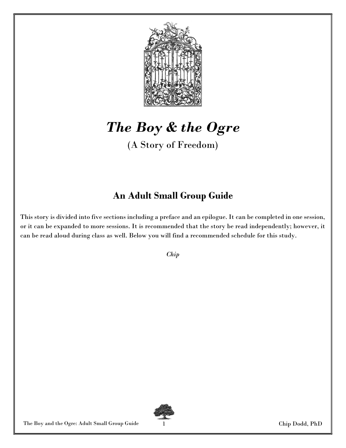

# The Boy & the Ogre

(A Story of Freedom)

# An Adult Small Group Guide

This story is divided into five sections including a preface and an epilogue. It can be completed in one session, or it can be expanded to more sessions. It is recommended that the story be read independently; however, it can be read aloud during class as well. Below you will find a recommended schedule for this study.

Chip

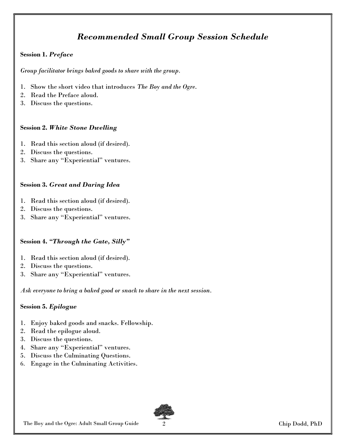## Recommended Small Group Session Schedule

### Session 1. Preface

Group facilitator brings baked goods to share with the group.

- 1. Show the short video that introduces The Boy and the Ogre.
- 2. Read the Preface aloud.
- 3. Discuss the questions.

### Session 2. White Stone Dwelling

- 1. Read this section aloud (if desired).
- 2. Discuss the questions.
- 3. Share any "Experiential" ventures.

### Session 3. Great and Daring Idea

- 1. Read this section aloud (if desired).
- 2. Discuss the questions.
- 3. Share any "Experiential" ventures.

### Session 4. "Through the Gate, Silly"

- 1. Read this section aloud (if desired).
- 2. Discuss the questions.
- 3. Share any "Experiential" ventures.

Ask everyone to bring a baked good or snack to share in the next session.

### Session 5. Epilogue

- 1. Enjoy baked goods and snacks. Fellowship.
- 2. Read the epilogue aloud.
- 3. Discuss the questions.
- 4. Share any "Experiential" ventures.
- 5. Discuss the Culminating Questions.
- 6. Engage in the Culminating Activities.

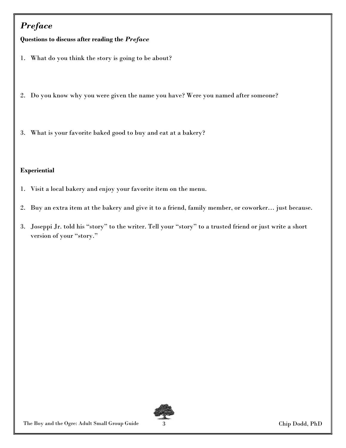# Preface

Questions to discuss after reading the Preface

- 1. What do you think the story is going to be about?
- 2. Do you know why you were given the name you have? Were you named after someone?
- 3. What is your favorite baked good to buy and eat at a bakery?

### Experiential

- 1. Visit a local bakery and enjoy your favorite item on the menu.
- 2. Buy an extra item at the bakery and give it to a friend, family member, or coworker… just because.
- 3. Joseppi Jr. told his "story" to the writer. Tell your "story" to a trusted friend or just write a short version of your "story."

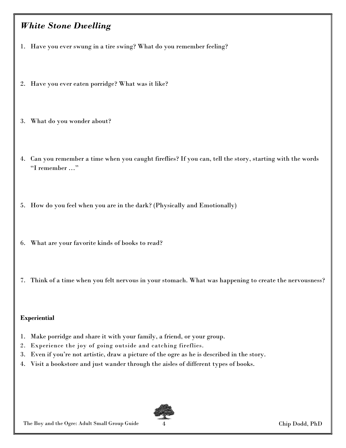### White Stone Dwelling

- 1. Have you ever swung in a tire swing? What do you remember feeling?
- 2. Have you ever eaten porridge? What was it like?
- 3. What do you wonder about?
- 4. Can you remember a time when you caught fireflies? If you can, tell the story, starting with the words "I remember …"
- 5. How do you feel when you are in the dark? (Physically and Emotionally)
- 6. What are your favorite kinds of books to read?
- 7. Think of a time when you felt nervous in your stomach. What was happening to create the nervousness?

#### Experiential

- 1. Make porridge and share it with your family, a friend, or your group.
- 2. Experience the joy of going outside and catching fireflies.
- 3. Even if you're not artistic, draw a picture of the ogre as he is described in the story.
- 4. Visit a bookstore and just wander through the aisles of different types of books.

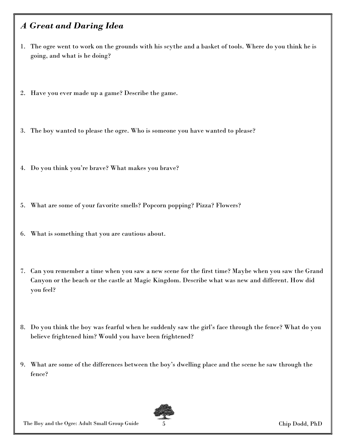### A Great and Daring Idea

- 1. The ogre went to work on the grounds with his scythe and a basket of tools. Where do you think he is going, and what is he doing?
- 2. Have you ever made up a game? Describe the game.
- 3. The boy wanted to please the ogre. Who is someone you have wanted to please?
- 4. Do you think you're brave? What makes you brave?
- 5. What are some of your favorite smells? Popcorn popping? Pizza? Flowers?
- 6. What is something that you are cautious about.
- 7. Can you remember a time when you saw a new scene for the first time? Maybe when you saw the Grand Canyon or the beach or the castle at Magic Kingdom. Describe what was new and different. How did you feel?
- 8. Do you think the boy was fearful when he suddenly saw the girl's face through the fence? What do you believe frightened him? Would you have been frightened?
- 9. What are some of the differences between the boy's dwelling place and the scene he saw through the fence?



The Boy and the Ogre: Adult Small Group Guide 5 Chip Dodd, PhD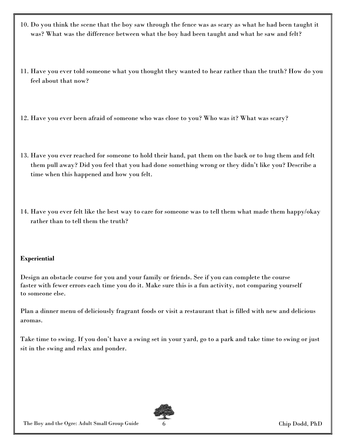- 10. Do you think the scene that the boy saw through the fence was as scary as what he had been taught it was? What was the difference between what the boy had been taught and what he saw and felt?
- 11. Have you ever told someone what you thought they wanted to hear rather than the truth? How do you feel about that now?
- 12. Have you ever been afraid of someone who was close to you? Who was it? What was scary?
- 13. Have you ever reached for someone to hold their hand, pat them on the back or to hug them and felt them pull away? Did you feel that you had done something wrong or they didn't like you? Describe a time when this happened and how you felt.
- 14. Have you ever felt like the best way to care for someone was to tell them what made them happy/okay rather than to tell them the truth?

### Experiential

Design an obstacle course for you and your family or friends. See if you can complete the course faster with fewer errors each time you do it. Make sure this is a fun activity, not comparing yourself to someone else.

Plan a dinner menu of deliciously fragrant foods or visit a restaurant that is filled with new and delicious aromas.

Take time to swing. If you don't have a swing set in your yard, go to a park and take time to swing or just sit in the swing and relax and ponder.

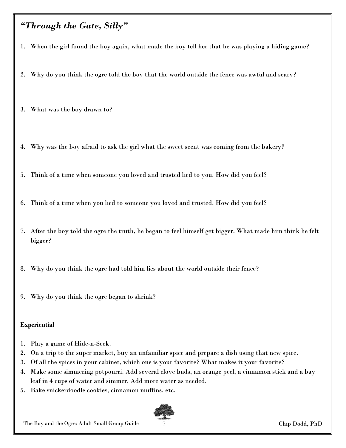### "Through the Gate, Silly"

- 1. When the girl found the boy again, what made the boy tell her that he was playing a hiding game?
- 2. Why do you think the ogre told the boy that the world outside the fence was awful and scary?
- 3. What was the boy drawn to?
- 4. Why was the boy afraid to ask the girl what the sweet scent was coming from the bakery?
- 5. Think of a time when someone you loved and trusted lied to you. How did you feel?
- 6. Think of a time when you lied to someone you loved and trusted. How did you feel?
- 7. After the boy told the ogre the truth, he began to feel himself get bigger. What made him think he felt bigger?
- 8. Why do you think the ogre had told him lies about the world outside their fence?
- 9. Why do you think the ogre began to shrink?

#### **Experiential**

- 1. Play a game of Hide-n-Seek.
- 2. On a trip to the super market, buy an unfamiliar spice and prepare a dish using that new spice.
- 3. Of all the spices in your cabinet, which one is your favorite? What makes it your favorite?
- 4. Make some simmering potpourri. Add several clove buds, an orange peel, a cinnamon stick and a bay leaf in 4 cups of water and simmer. Add more water as needed.
- 5. Bake snickerdoodle cookies, cinnamon muffins, etc.



The Boy and the Ogre: Adult Small Group Guide 7 Chip Dodd, PhD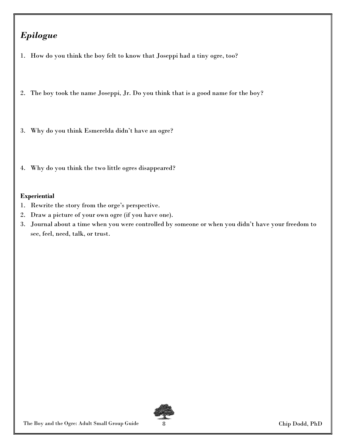# Epilogue

- 1. How do you think the boy felt to know that Joseppi had a tiny ogre, too?
- 2. The boy took the name Joseppi, Jr. Do you think that is a good name for the boy?
- 3. Why do you think Esmerelda didn't have an ogre?
- 4. Why do you think the two little ogres disappeared?

### Experiential

- 1. Rewrite the story from the orge's perspective.
- 2. Draw a picture of your own ogre (if you have one).
- 3. Journal about a time when you were controlled by someone or when you didn't have your freedom to see, feel, need, talk, or trust.